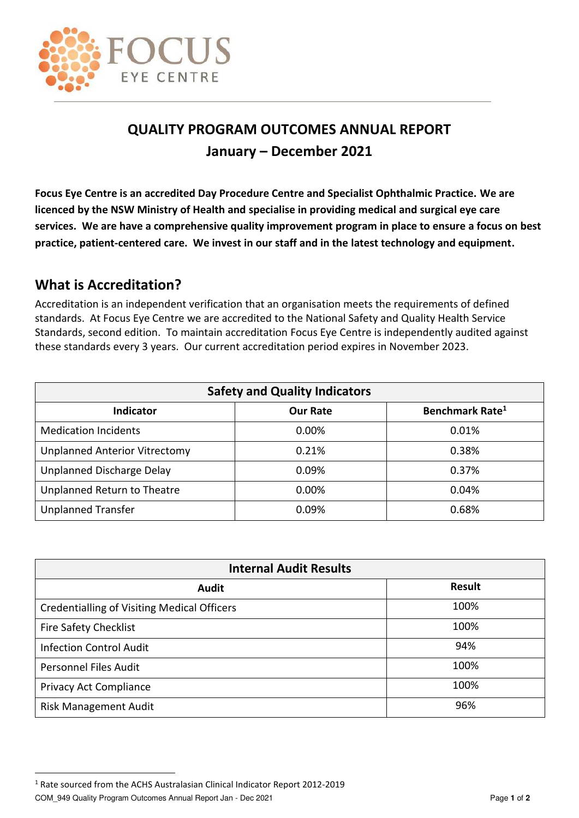

## **QUALITY PROGRAM OUTCOMES ANNUAL REPORT January – December 2021**

**Focus Eye Centre is an accredited Day Procedure Centre and Specialist Ophthalmic Practice. We are licenced by the NSW Ministry of Health and specialise in providing medical and surgical eye care services. We are have a comprehensive quality improvement program in place to ensure a focus on best practice, patient-centered care. We invest in our staff and in the latest technology and equipment.** 

## **What is Accreditation?**

Accreditation is an independent verification that an organisation meets the requirements of defined standards. At Focus Eye Centre we are accredited to the National Safety and Quality Health Service Standards, second edition. To maintain accreditation Focus Eye Centre is independently audited against these standards every 3 years. Our current accreditation period expires in November 2023.

| <b>Safety and Quality Indicators</b> |                 |                             |  |  |
|--------------------------------------|-----------------|-----------------------------|--|--|
| <b>Indicator</b>                     | <b>Our Rate</b> | Benchmark Rate <sup>1</sup> |  |  |
| <b>Medication Incidents</b>          | 0.00%           | 0.01%                       |  |  |
| <b>Unplanned Anterior Vitrectomy</b> | 0.21%           | 0.38%                       |  |  |
| Unplanned Discharge Delay            | 0.09%           | 0.37%                       |  |  |
| Unplanned Return to Theatre          | 0.00%           | 0.04%                       |  |  |
| <b>Unplanned Transfer</b>            | 0.09%           | 0.68%                       |  |  |

| <b>Internal Audit Results</b>                      |               |  |  |
|----------------------------------------------------|---------------|--|--|
| <b>Audit</b>                                       | <b>Result</b> |  |  |
| <b>Credentialling of Visiting Medical Officers</b> | 100%          |  |  |
| <b>Fire Safety Checklist</b>                       | 100%          |  |  |
| <b>Infection Control Audit</b>                     | 94%           |  |  |
| <b>Personnel Files Audit</b>                       | 100%          |  |  |
| Privacy Act Compliance                             | 100%          |  |  |
| <b>Risk Management Audit</b>                       | 96%           |  |  |

 $\overline{a}$ 

<sup>&</sup>lt;sup>1</sup> Rate sourced from the ACHS Australasian Clinical Indicator Report 2012-2019

COM\_949 Quality Program Outcomes Annual Report Jan - Dec 2021 Page **1** of **<sup>2</sup>**